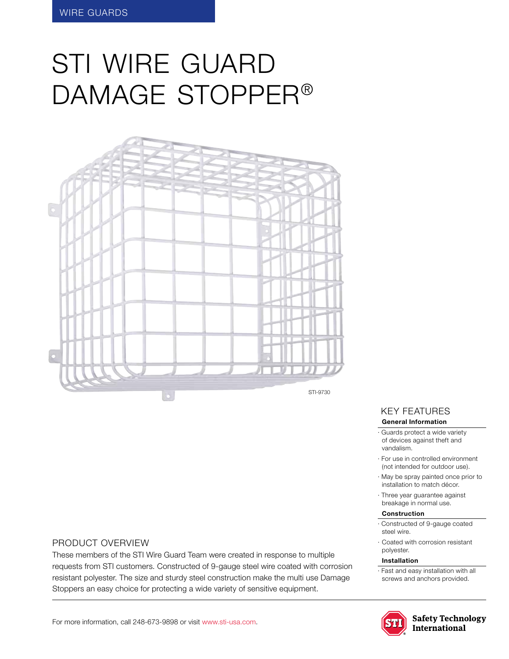# STI WIRE GUARD damage Stopper®



### Product Overview

These members of the STI Wire Guard Team were created in response to multiple requests from STI customers. Constructed of 9-gauge steel wire coated with corrosion resistant polyester. The size and sturdy steel construction make the multi use Damage Stoppers an easy choice for protecting a wide variety of sensitive equipment.

# KEY features

#### **General Information**

· Guards protect a wide variety of devices against theft and vandalism.

- · For use in controlled environment (not intended for outdoor use).
- · May be spray painted once prior to installation to match décor.
- · Three year guarantee against breakage in normal use.

#### **Construction**

- · Constructed of 9-gauge coated steel wire.
- · Coated with corrosion resistant polyester.

#### **Installation**

· Fast and easy installation with all screws and anchors provided.



**Safety Technology** International